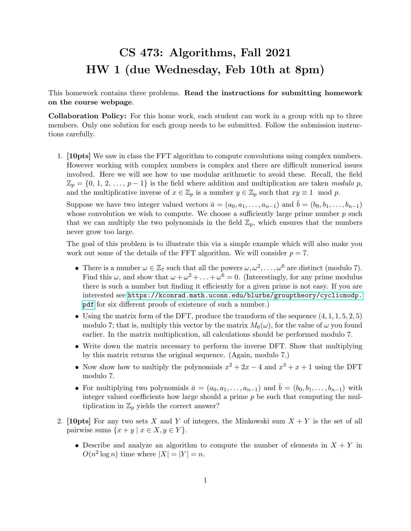## CS 473: Algorithms, Fall 2021 HW 1 (due Wednesday, Feb 10th at 8pm)

This homework contains three problems. Read the instructions for submitting homework on the course webpage.

Collaboration Policy: For this home work, each student can work in a group with up to three members. Only one solution for each group needs to be submitted. Follow the submission instructions carefully.

1. [10pts] We saw in class the FFT algorithm to compute convolutions using complex numbers. However working with complex numbers is complex and there are difficult numerical issues involved. Here we will see how to use modular arithmetic to avoid these. Recall, the field  $\mathbb{Z}_p = \{0, 1, 2, \ldots, p-1\}$  is the field where addition and multiplication are taken modulo p, and the multiplicative inverse of  $x \in \mathbb{Z}_p$  is a number  $y \in \mathbb{Z}_p$  such that  $xy \equiv 1 \mod p$ .

Suppose we have two integer valued vectors  $\bar{a} = (a_0, a_1, \ldots, a_{n-1})$  and  $\bar{b} = (b_0, b_1, \ldots, b_{n-1})$ whose convolution we wish to compute. We choose a sufficiently large prime number  $p$  such that we can multiply the two polynomials in the field  $\mathbb{Z}_p$ , which ensures that the numbers never grow too large.

The goal of this problem is to illustrate this via a simple example which will also make you work out some of the details of the FFT algorithm. We will consider  $p = 7$ .

- There is a number  $\omega \in \mathbb{Z}_7$  such that all the powers  $\omega, \omega^2, \ldots, \omega^6$  are distinct (modulo 7). Find this  $\omega$ , and show that  $\omega + \omega^2 + \ldots + \omega^6 = 0$ . (Interestingly, for any prime modulus there is such a number but finding it efficiently for a given prime is not easy. If you are interested see [https://kconrad.math.uconn.edu/blurbs/grouptheory/cyclicmodp.](https://kconrad.math.uconn.edu/blurbs/grouptheory/cyclicmodp.pdf) [pdf](https://kconrad.math.uconn.edu/blurbs/grouptheory/cyclicmodp.pdf) for six different proofs of existence of such a number.)
- $\bullet$  Using the matrix form of the DFT, produce the transform of the sequence  $(4, 1, 1, 5, 2, 5)$ modulo 7; that is, multiply this vector by the matrix  $M_6(\omega)$ , for the value of  $\omega$  you found earlier. In the matrix multiplication, all calculations should be performed modulo 7.
- Write down the matrix necessary to perform the inverse DFT. Show that multiplying by this matrix returns the original sequence. (Again, modulo 7.)
- Now show how to multiply the polynomials  $x^2 + 2x 4$  and  $x^3 + x + 1$  using the DFT modulo 7.
- For multiplying two polynomials  $\bar{a} = (a_0, a_1, \ldots, a_{n-1})$  and  $\bar{b} = (b_0, b_1, \ldots, b_{n-1})$  with integer valued coefficients how large should a prime  $p$  be such that computing the multiplication in  $\mathbb{Z}_p$  yields the correct answer?
- 2. [10pts] For any two sets X and Y of integers, the Minkowski sum  $X + Y$  is the set of all pairwise sums  $\{x + y \mid x \in X, y \in Y\}.$ 
	- Describe and analyze an algorithm to compute the number of elements in  $X + Y$  in  $O(n^2 \log n)$  time where  $|X| = |Y| = n$ .